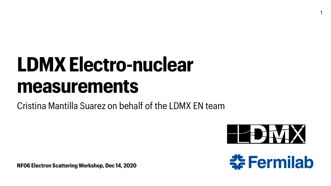**NF06 Electron Scattering Workshop, Dec 14, 2020**



# **LDMX Electro-nuclear measurements** Cristina Mantilla Suarez on behalf of the LDMX EN team



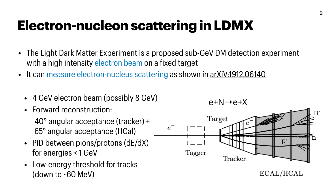# **Electron-nucleon scattering in LDMX**





 $ECAL/HCAL$ 

- The Light Dark Matter Experiment is a proposed sub-GeV DM detection experiment with a high intensity electron beam on a fixed target
- It can measure electron-nucleus scattering as shown in [arXiV:1912.06140](https://arxiv.org/abs/1912.06140)
	- 4 GeV electron beam (possibly 8 GeV)  $e+N \rightarrow e+X$
	- Forward reconstruction: 40° angular acceptance (tracker) + 65° angular acceptance (HCal)
	- PID between pions/protons (dE/dX) for energies < 1 GeV
	- Low-energy threshold for tracks (down to ~60 MeV)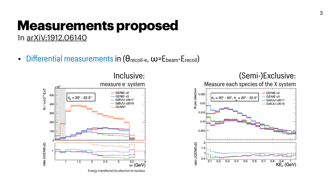

### Inclusive:



### **Measurements proposed** In [arXiV:1912.06140](https://arxiv.org/abs/1912.06140)

• Differential measurements in (θ<sub>recoil-e</sub>, w=Ebeam-Erecoil)



Energy transferred by electron to nucleus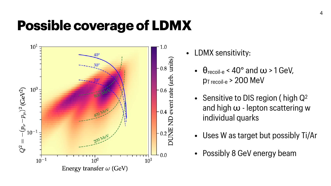## **Possible coverage of LDMX**



1.0  $\Bigg\downarrow$  0.8  $\frac{\widehat{\mathbf{B}}}{\widehat{\mathbf{B}}}$  $\begin{bmatrix}\n 0.6 \\
0.4 \\
0.4\n\end{bmatrix}$  $\overline{R}$  $-0.2\frac{11}{5}$ 





- LDMX sensitivity:
	- $\cdot$   $\theta$ <sub>recoil-e</sub> < 40 $\circ$  and  $\omega$  > 1 GeV, pT recoil-e > 200 MeV
	- Sensitive to DIS region (high Q<sup>2</sup> and high ω - lepton scattering w individual quarks
	- Uses W as target but possibly Ti/Ar
	- Possibly 8 GeV energy beam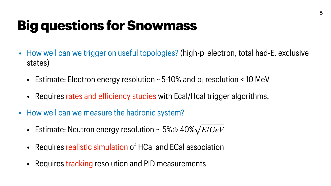# **Big questions for Snowmass**

- How well can we trigger on useful topologies? (high- $p<sub>r</sub>$  electron, total had-E, exclusive states)
	- Estimate: Electron energy resolution  $\sim$  5-10% and p<sub>T</sub> resolution < 10 MeV
	- Requires rates and efficiency studies with Ecal/Hcal trigger algorithms.
- How well can we measure the hadronic system?
	- Estimate: Neutron energy resolution ~ 5%⊕ 40% *E*/*GeV*
	- Requires realistic simulation of HCal and ECal association
	- Requires tracking resolution and PID measurements

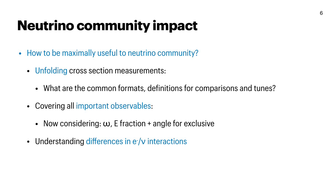# **Neutrino community impact**

- How to be maximally useful to neutrino community?
	- Unfolding cross section measurements:
		- What are the common formats, definitions for comparisons and tunes?
	- Covering all important observables:
		- Now considering:  $\omega$ , E fraction + angle for exclusive
	- Understanding differences in e-/v interactions